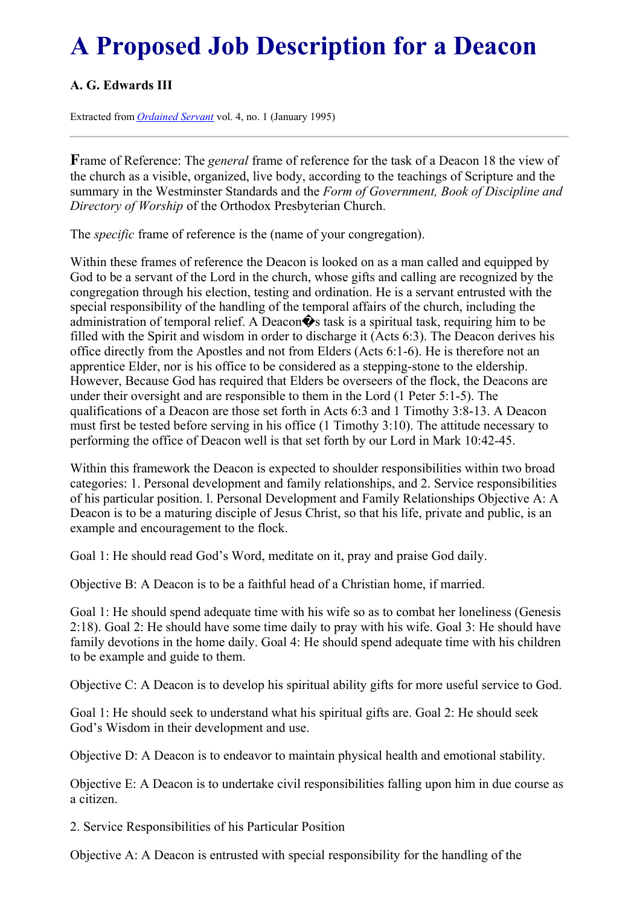## **A Proposed Job Description for a Deacon**

## **A. G. Edwards III**

Extracted from *[Ordained](../../Ordained_servant.html) Servant* vol. 4, no. 1 (January 1995)

**F**rame of Reference: The *general* frame of reference for the task of a Deacon 18 the view of the church as a visible, organized, live body, according to the teachings of Scripture and the summary in the Westminster Standards and the *Form of Government, Book of Discipline and Directory of Worship* of the Orthodox Presbyterian Church.

The *specific* frame of reference is the (name of your congregation).

Within these frames of reference the Deacon is looked on as a man called and equipped by God to be a servant of the Lord in the church, whose gifts and calling are recognized by the congregation through his election, testing and ordination. He is a servant entrusted with the special responsibility of the handling of the temporal affairs of the church, including the administration of temporal relief. A Deacon $\hat{\mathbf{\diamond}}$  task is a spiritual task, requiring him to be filled with the Spirit and wisdom in order to discharge it (Acts 6:3). The Deacon derives his office directly from the Apostles and not from Elders (Acts 6:1-6). He is therefore not an apprentice Elder, nor is his office to be considered as a stepping-stone to the eldership. However, Because God has required that Elders be overseers of the flock, the Deacons are under their oversight and are responsible to them in the Lord (1 Peter 5:1-5). The qualifications of a Deacon are those set forth in Acts 6:3 and 1 Timothy 3:8-13. A Deacon must first be tested before serving in his office (1 Timothy 3:10). The attitude necessary to performing the office of Deacon well is that set forth by our Lord in Mark 10:42-45.

Within this framework the Deacon is expected to shoulder responsibilities within two broad categories: 1. Personal development and family relationships, and 2. Service responsibilities of his particular position. l. Personal Development and Family Relationships Objective A: A Deacon is to be a maturing disciple of Jesus Christ, so that his life, private and public, is an example and encouragement to the flock.

Goal 1: He should read God's Word, meditate on it, pray and praise God daily.

Objective B: A Deacon is to be a faithful head of a Christian home, if married.

Goal 1: He should spend adequate time with his wife so as to combat her loneliness (Genesis 2:18). Goal 2: He should have some time daily to pray with his wife. Goal 3: He should have family devotions in the home daily. Goal 4: He should spend adequate time with his children to be example and guide to them.

Objective C: A Deacon is to develop his spiritual ability gifts for more useful service to God.

Goal 1: He should seek to understand what his spiritual gifts are. Goal 2: He should seek God's Wisdom in their development and use.

Objective D: A Deacon is to endeavor to maintain physical health and emotional stability.

Objective E: A Deacon is to undertake civil responsibilities falling upon him in due course as a citizen.

2. Service Responsibilities of his Particular Position

Objective A: A Deacon is entrusted with special responsibility for the handling of the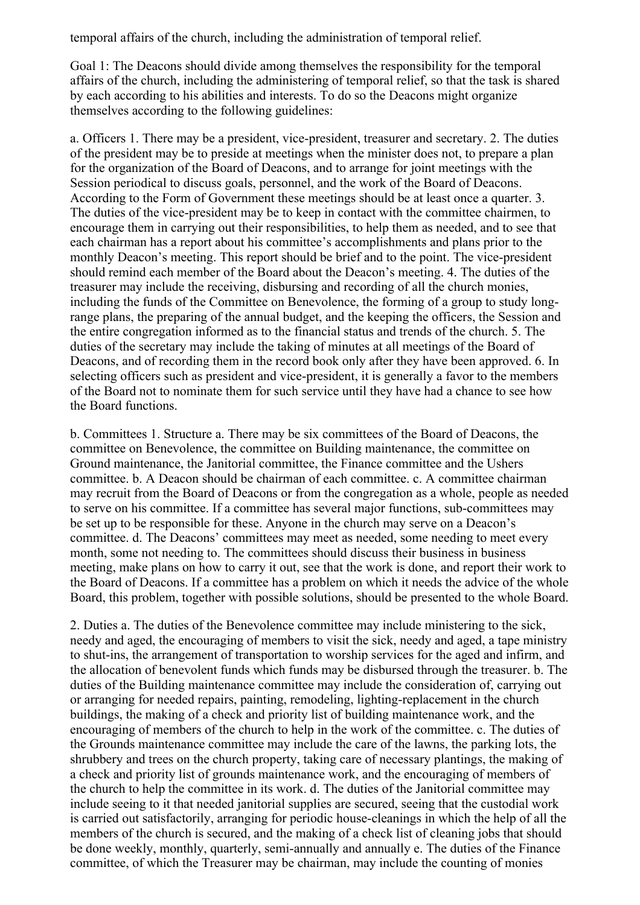temporal affairs of the church, including the administration of temporal relief.

Goal 1: The Deacons should divide among themselves the responsibility for the temporal affairs of the church, including the administering of temporal relief, so that the task is shared by each according to his abilities and interests. To do so the Deacons might organize themselves according to the following guidelines:

a. Officers 1. There may be a president, vice-president, treasurer and secretary. 2. The duties of the president may be to preside at meetings when the minister does not, to prepare a plan for the organization of the Board of Deacons, and to arrange for joint meetings with the Session periodical to discuss goals, personnel, and the work of the Board of Deacons. According to the Form of Government these meetings should be at least once a quarter. 3. The duties of the vice-president may be to keep in contact with the committee chairmen, to encourage them in carrying out their responsibilities, to help them as needed, and to see that each chairman has a report about his committee's accomplishments and plans prior to the monthly Deacon's meeting. This report should be brief and to the point. The vice-president should remind each member of the Board about the Deacon's meeting. 4. The duties of the treasurer may include the receiving, disbursing and recording of all the church monies, including the funds of the Committee on Benevolence, the forming of a group to study longrange plans, the preparing of the annual budget, and the keeping the officers, the Session and the entire congregation informed as to the financial status and trends of the church. 5. The duties of the secretary may include the taking of minutes at all meetings of the Board of Deacons, and of recording them in the record book only after they have been approved. 6. In selecting officers such as president and vice-president, it is generally a favor to the members of the Board not to nominate them for such service until they have had a chance to see how the Board functions.

b. Committees 1. Structure a. There may be six committees of the Board of Deacons, the committee on Benevolence, the committee on Building maintenance, the committee on Ground maintenance, the Janitorial committee, the Finance committee and the Ushers committee. b. A Deacon should be chairman of each committee. c. A committee chairman may recruit from the Board of Deacons or from the congregation as a whole, people as needed to serve on his committee. If a committee has several major functions, sub-committees may be set up to be responsible for these. Anyone in the church may serve on a Deacon's committee. d. The Deacons' committees may meet as needed, some needing to meet every month, some not needing to. The committees should discuss their business in business meeting, make plans on how to carry it out, see that the work is done, and report their work to the Board of Deacons. If a committee has a problem on which it needs the advice of the whole Board, this problem, together with possible solutions, should be presented to the whole Board.

2. Duties a. The duties of the Benevolence committee may include ministering to the sick, needy and aged, the encouraging of members to visit the sick, needy and aged, a tape ministry to shut-ins, the arrangement of transportation to worship services for the aged and infirm, and the allocation of benevolent funds which funds may be disbursed through the treasurer. b. The duties of the Building maintenance committee may include the consideration of, carrying out or arranging for needed repairs, painting, remodeling, lighting-replacement in the church buildings, the making of a check and priority list of building maintenance work, and the encouraging of members of the church to help in the work of the committee. c. The duties of the Grounds maintenance committee may include the care of the lawns, the parking lots, the shrubbery and trees on the church property, taking care of necessary plantings, the making of a check and priority list of grounds maintenance work, and the encouraging of members of the church to help the committee in its work. d. The duties of the Janitorial committee may include seeing to it that needed janitorial supplies are secured, seeing that the custodial work is carried out satisfactorily, arranging for periodic house-cleanings in which the help of all the members of the church is secured, and the making of a check list of cleaning jobs that should be done weekly, monthly, quarterly, semi-annually and annually e. The duties of the Finance committee, of which the Treasurer may be chairman, may include the counting of monies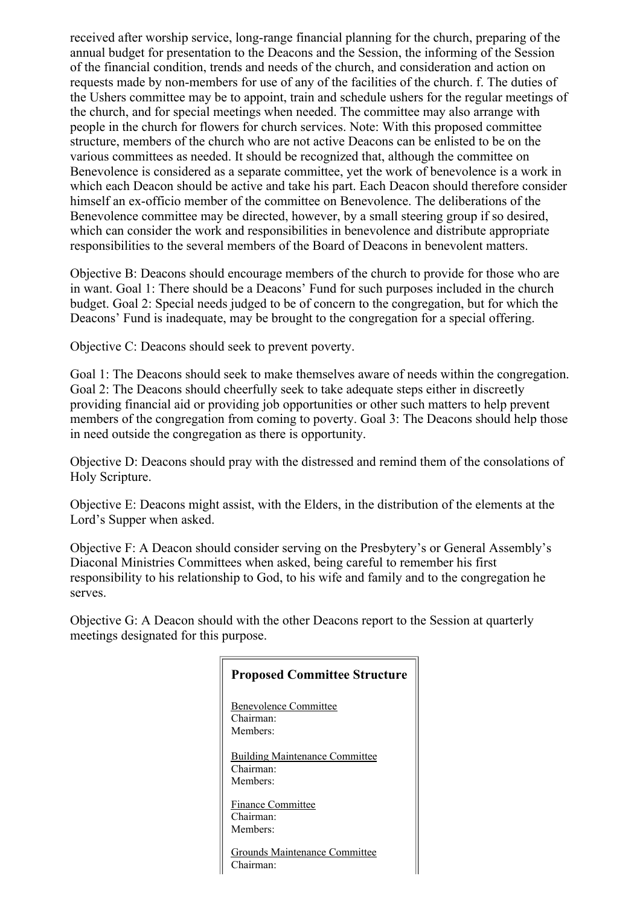received after worship service, long-range financial planning for the church, preparing of the annual budget for presentation to the Deacons and the Session, the informing of the Session of the financial condition, trends and needs of the church, and consideration and action on requests made by non-members for use of any of the facilities of the church. f. The duties of the Ushers committee may be to appoint, train and schedule ushers for the regular meetings of the church, and for special meetings when needed. The committee may also arrange with people in the church for flowers for church services. Note: With this proposed committee structure, members of the church who are not active Deacons can be enlisted to be on the various committees as needed. It should be recognized that, although the committee on Benevolence is considered as a separate committee, yet the work of benevolence is a work in which each Deacon should be active and take his part. Each Deacon should therefore consider himself an ex-officio member of the committee on Benevolence. The deliberations of the Benevolence committee may be directed, however, by a small steering group if so desired, which can consider the work and responsibilities in benevolence and distribute appropriate responsibilities to the several members of the Board of Deacons in benevolent matters.

Objective B: Deacons should encourage members of the church to provide for those who are in want. Goal 1: There should be a Deacons' Fund for such purposes included in the church budget. Goal 2: Special needs judged to be of concern to the congregation, but for which the Deacons' Fund is inadequate, may be brought to the congregation for a special offering.

Objective C: Deacons should seek to prevent poverty.

Goal 1: The Deacons should seek to make themselves aware of needs within the congregation. Goal 2: The Deacons should cheerfully seek to take adequate steps either in discreetly providing financial aid or providing job opportunities or other such matters to help prevent members of the congregation from coming to poverty. Goal 3: The Deacons should help those in need outside the congregation as there is opportunity.

Objective D: Deacons should pray with the distressed and remind them of the consolations of Holy Scripture.

Objective E: Deacons might assist, with the Elders, in the distribution of the elements at the Lord's Supper when asked.

Objective F: A Deacon should consider serving on the Presbytery's or General Assembly's Diaconal Ministries Committees when asked, being careful to remember his first responsibility to his relationship to God, to his wife and family and to the congregation he serves.

Objective G: A Deacon should with the other Deacons report to the Session at quarterly meetings designated for this purpose.

| <b>Proposed Committee Structure</b>                            |
|----------------------------------------------------------------|
| <b>Benevolence Committee</b><br>Chairman:<br>Members:          |
| <b>Building Maintenance Committee</b><br>Chairman:<br>Members: |
| <b>Finance Committee</b><br>Chairman:<br>Members:              |
| Grounds Maintenance Committee<br>`hairman:                     |